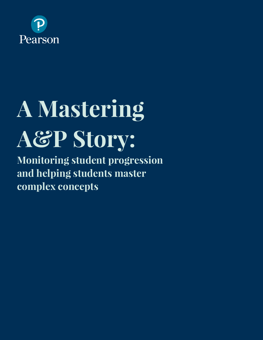

# **A Mastering A&P Story:**

**Monitoring student progression and helping students master complex concepts**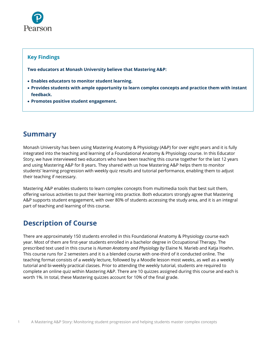

#### **Key Findings**

**Two educators at Monash University believe that Mastering A&P:**

- **Enables educators to monitor student learning.**
- **Provides students with ample opportunity to learn complex concepts and practice them with instant feedback.**
- **Promotes positive student engagement.**

## **Summary**

Monash University has been using Mastering Anatomy & Physiology (A&P) for over eight years and it is fully integrated into the teaching and learning of a Foundational Anatomy & Physiology course. In this Educator Story, we have interviewed two educators who have been teaching this course together for the last 12 years and using Mastering A&P for 8 years. They shared with us how Mastering A&P helps them to monitor students' learning progression with weekly quiz results and tutorial performance, enabling them to adjust their teaching if necessary.

Mastering A&P enables students to learn complex concepts from multimedia tools that best suit them, offering various activities to put their learning into practice. Both educators strongly agree that Mastering A&P supports student engagement, with over 80% of students accessing the study area, and it is an integral part of teaching and learning of this course.

## **Description of Course**

There are approximately 150 students enrolled in this Foundational Anatomy & Physiology course each year. Most of them are first-year students enrolled in a bachelor degree in Occupational Therapy. The prescribed text used in this course is *Human Anatomy and Physiology by* Elaine N. Marieb and Katja Hoehn. This course runs for 2 semesters and it is a blended course with one-third of it conducted online. The teaching format consists of a weekly lecture, followed by a Moodle lesson most weeks, as well as a weekly tutorial and bi-weekly practical classes. Prior to attending the weekly tutorial, students are required to complete an online quiz within Mastering A&P. There are 10 quizzes assigned during this course and each is worth 1%. In total, these Mastering quizzes account for 10% of the final grade.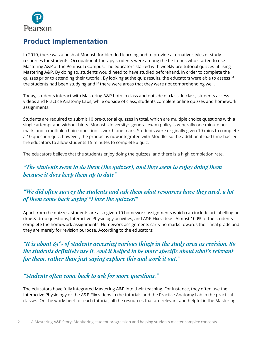

# **Product Implementation**

In 2010, there was a push at Monash for blended learning and to provide alternative styles of study resources for students. Occupational Therapy students were among the first ones who started to use Mastering A&P at the Peninsula Campus. The educators started with weekly pre-tutorial quizzes utilising Mastering A&P. By doing so, students would need to have studied beforehand, in order to complete the quizzes prior to attending their tutorial. By looking at the quiz results, the educators were able to assess if the students had been studying and if there were areas that they were not comprehending well.

Today, students interact with Mastering A&P both in class and outside of class. In class, students access videos and Practice Anatomy Labs, while outside of class, students complete online quizzes and homework assignments.

Students are required to submit 10 pre-tutorial quizzes in total, which are multiple choice questions with a single attempt and without hints. Monash University's general exam policy is generally one minute per mark, and a multiple-choice question is worth one mark. Students were originally given 10 mins to complete a 10 question quiz, however, the product is now integrated with Moodle, so the additional load time has led the educators to allow students 15 minutes to complete a quiz.

The educators believe that the students enjoy doing the quizzes, and there is a high completion rate.

#### *"The students seem to do them (the quizzes), and they seem to enjoy doing them because it does keep them up to date"*

### *"We did often survey the students and ask them what resources have they used, a lot of them come back saying "I love the quizzes!"*

Apart from the quizzes, students are also given 10 homework assignments which can include art labelling or drag & drop questions, Interactive Physiology activities, and A&P Flix videos. Almost 100% of the students complete the homework assignments. Homework assignments carry no marks towards their final grade and they are merely for revision purpose. According to the educators:

### *"It is about 85% of students accessing various things in the study area as revision. So the students definitely use it. And it helped to be more specific about what's relevant for them, rather than just saying explore this and work it out."*

#### *"Students often come back to ask for more questions."*

The educators have fully integrated Mastering A&P into their teaching. For instance, they often use the Interactive Physiology or the A&P Flix videos in the tutorials and the Practice Anatomy Lab in the practical classes. On the worksheet for each tutorial, all the resources that are relevant and helpful in the Mastering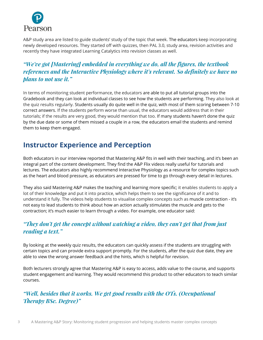

A&P study area are listed to guide students' study of the topic that week. The educators keep incorporating newly developed resources. They started off with quizzes, then PAL 3.0, study area, revision activities and recently they have integrated Learning Catalytics into revision classes as well.

## *"We've got [Mastering] embedded in everything we do, all the figures, the textbook references and the Interactive Physiology where it's relevant. So definitely we have no plans to not use it."*

In terms of monitoring student performance, the educators are able to put all tutorial groups into the Gradebook and they can look at individual classes to see how the students are performing. They also look at the quiz results regularly. Students usually do quite well in the quiz, with most of them scoring between 7-10 correct answers. If the students perform worse than usual, the educators would address that in their tutorials; if the results are very good, they would mention that too. If many students haven't done the quiz by the due date or some of them missed a couple in a row, the educators email the students and remind them to keep them engaged.

## **Instructor Experience and Perception**

Both educators in our interview reported that Mastering A&P fits in well with their teaching, and it's been an integral part of the content development. They find the A&P Flix videos really useful for tutorials and lectures. The educators also highly recommend Interactive Physiology as a resource for complex topics such as the heart and blood pressure, as educators are pressed for time to go through every detail in lectures.

They also said Mastering A&P makes the teaching and learning more specific; it enables students to apply a lot of their knowledge and put it into practice, which helps them to see the significance of it and to understand it fully. The videos help students to visualise complex concepts such as muscle contraction - it's not easy to lead students to think about how an action actually stimulates the muscle and gets to the contraction; it's much easier to learn through a video. For example, one educator said:

### *"They don't get the concept without watching a video, they can't get that from just reading a text."*

By looking at the weekly quiz results, the educators can quickly assess if the students are struggling with certain topics and can provide extra support promptly. For the students, after the quiz due date, they are able to view the wrong answer feedback and the hints, which is helpful for revision.

Both lecturers strongly agree that Mastering A&P is easy to access, adds value to the course, and supports student engagement and learning. They would recommend this product to other educators to teach similar courses.

*"Well, besides that it works. We get good results with the OTs. (Occupational Therapy BSc. Degree)"*